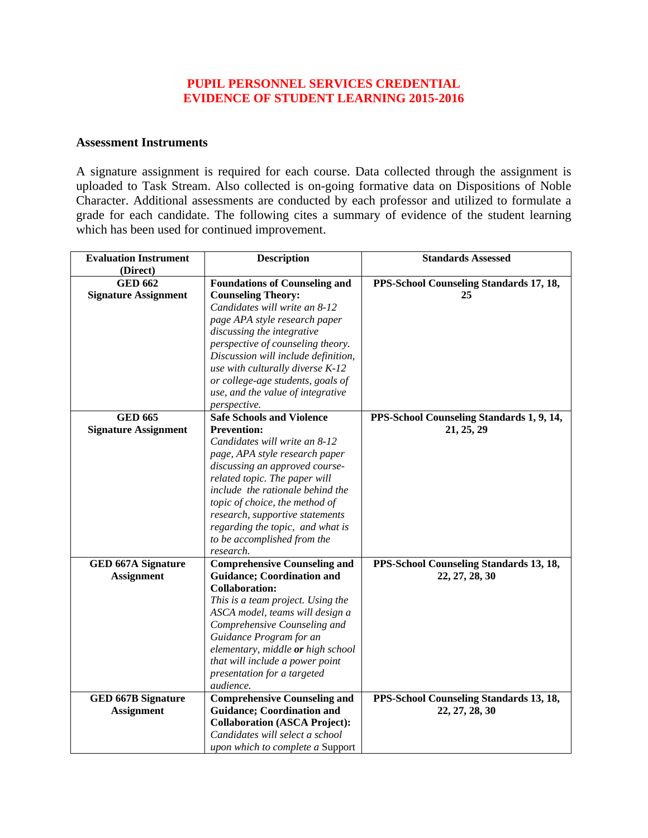#### **PUPIL PERSONNEL SERVICES CREDENTIAL EVIDENCE OF STUDENT LEARNING 2015-2016**

#### **Assessment Instruments**

A signature assignment is required for each course. Data collected through the assignment is uploaded to Task Stream. Also collected is on-going formative data on Dispositions of Noble Character. Additional assessments are conducted by each professor and utilized to formulate a grade for each candidate. The following cites a summary of evidence of the student learning which has been used for continued improvement.

| <b>Evaluation Instrument</b> | <b>Description</b>                   | <b>Standards Assessed</b>                 |
|------------------------------|--------------------------------------|-------------------------------------------|
| (Direct)                     |                                      |                                           |
| <b>GED 662</b>               | <b>Foundations of Counseling and</b> | PPS-School Counseling Standards 17, 18,   |
| <b>Signature Assignment</b>  | <b>Counseling Theory:</b>            | 25                                        |
|                              | Candidates will write an 8-12        |                                           |
|                              | page APA style research paper        |                                           |
|                              | discussing the integrative           |                                           |
|                              | perspective of counseling theory.    |                                           |
|                              | Discussion will include definition,  |                                           |
|                              | use with culturally diverse K-12     |                                           |
|                              | or college-age students, goals of    |                                           |
|                              | use, and the value of integrative    |                                           |
|                              | perspective.                         |                                           |
| <b>GED 665</b>               | <b>Safe Schools and Violence</b>     | PPS-School Counseling Standards 1, 9, 14, |
| <b>Signature Assignment</b>  | <b>Prevention:</b>                   | 21, 25, 29                                |
|                              | Candidates will write an 8-12        |                                           |
|                              | page, APA style research paper       |                                           |
|                              | discussing an approved course-       |                                           |
|                              | related topic. The paper will        |                                           |
|                              | include the rationale behind the     |                                           |
|                              | topic of choice, the method of       |                                           |
|                              | research, supportive statements      |                                           |
|                              | regarding the topic, and what is     |                                           |
|                              | to be accomplished from the          |                                           |
|                              | research.                            |                                           |
| <b>GED 667A Signature</b>    | <b>Comprehensive Counseling and</b>  | PPS-School Counseling Standards 13, 18,   |
| <b>Assignment</b>            | <b>Guidance; Coordination and</b>    | 22, 27, 28, 30                            |
|                              | <b>Collaboration:</b>                |                                           |
|                              | This is a team project. Using the    |                                           |
|                              | ASCA model, teams will design a      |                                           |
|                              | Comprehensive Counseling and         |                                           |
|                              | Guidance Program for an              |                                           |
|                              | elementary, middle or high school    |                                           |
|                              | that will include a power point      |                                           |
|                              | presentation for a targeted          |                                           |
|                              | audience.                            |                                           |
| <b>GED 667B Signature</b>    | <b>Comprehensive Counseling and</b>  | PPS-School Counseling Standards 13, 18,   |
| <b>Assignment</b>            | <b>Guidance; Coordination and</b>    | 22, 27, 28, 30                            |
|                              | <b>Collaboration (ASCA Project):</b> |                                           |
|                              | Candidates will select a school      |                                           |
|                              | upon which to complete a Support     |                                           |